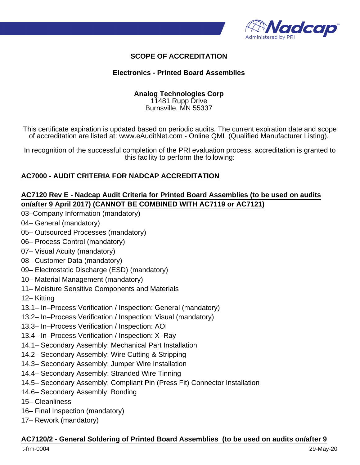

# **SCOPE OF ACCREDITATION**

### **Electronics - Printed Board Assemblies**

#### **Analog Technologies Corp** 11481 Rupp Drive

Burnsville, MN 55337

This certificate expiration is updated based on periodic audits. The current expiration date and scope of accreditation are listed at: www.eAuditNet.com - Online QML (Qualified Manufacturer Listing).

In recognition of the successful completion of the PRI evaluation process, accreditation is granted to this facility to perform the following:

## **AC7000 - AUDIT CRITERIA FOR NADCAP ACCREDITATION**

## **AC7120 Rev E - Nadcap Audit Criteria for Printed Board Assemblies (to be used on audits on/after 9 April 2017) (CANNOT BE COMBINED WITH AC7119 or AC7121)**

- 03–Company Information (mandatory)
- 04– General (mandatory)
- 05– Outsourced Processes (mandatory)
- 06– Process Control (mandatory)
- 07– Visual Acuity (mandatory)
- 08– Customer Data (mandatory)
- 09– Electrostatic Discharge (ESD) (mandatory)
- 10– Material Management (mandatory)
- 11– Moisture Sensitive Components and Materials
- 12– Kitting
- 13.1– In–Process Verification / Inspection: General (mandatory)
- 13.2– In–Process Verification / Inspection: Visual (mandatory)
- 13.3– In–Process Verification / Inspection: AOI
- 13.4– In–Process Verification / Inspection: X–Ray
- 14.1– Secondary Assembly: Mechanical Part Installation
- 14.2– Secondary Assembly: Wire Cutting & Stripping
- 14.3– Secondary Assembly: Jumper Wire Installation
- 14.4– Secondary Assembly: Stranded Wire Tinning
- 14.5– Secondary Assembly: Compliant Pin (Press Fit) Connector Installation
- 14.6– Secondary Assembly: Bonding
- 15– Cleanliness
- 16– Final Inspection (mandatory)
- 17– Rework (mandatory)

### **AC7120/2 - General Soldering of Printed Board Assemblies (to be used on audits on/after 9**